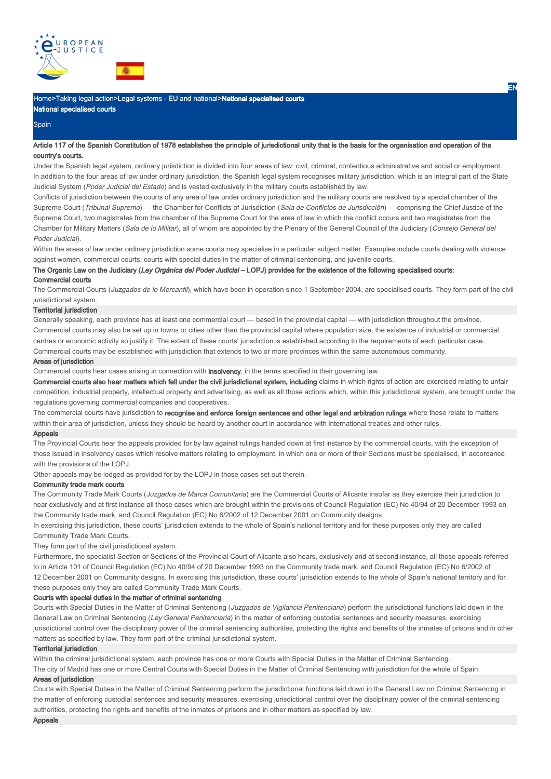

## Home>Taking legal action>Legal systems - EU and national>**National specialised courts**

National specialised courts

## **Spain**

## Article 117 of the Spanish Constitution of 1978 establishes the principle of jurisdictional unity that is the basis for the organisation and operation of the country's courts.

Under the Spanish legal system, ordinary jurisdiction is divided into four areas of law: civil, criminal, contentious administrative and social or employment. In addition to the four areas of law under ordinary jurisdiction, the Spanish legal system recognises military jurisdiction, which is an integral part of the State Judicial System (Poder Judicial del Estado) and is vested exclusively in the military courts established by law.

EN

Conflicts of jurisdiction between the courts of any area of law under ordinary jurisdiction and the military courts are resolved by a special chamber of the Supreme Court (Tribunal Supremo) — the Chamber for Conflicts of Jurisdiction (Sala de Conflictos de Jurisdicción) — comprising the Chief Justice of the Supreme Court, two magistrates from the chamber of the Supreme Court for the area of law in which the conflict occurs and two magistrates from the Chamber for Military Matters (Sala de lo Militar), all of whom are appointed by the Plenary of the General Council of the Judiciary (Consejo General del Poder Judicial).

Within the areas of law under ordinary jurisdiction some courts may specialise in a particular subject matter. Examples include courts dealing with violence against women, commercial courts, courts with special duties in the matter of criminal sentencing, and juvenile courts.

## The Organic Law on the Judiciary (Ley Orgánica del Poder Judicial – LOPJ) provides for the existence of the following specialised courts:

## Commercial courts

The Commercial Courts (Juzgados de lo Mercantil), which have been in operation since 1 September 2004, are specialised courts. They form part of the civil jurisdictional system.

#### Territorial jurisdiction

Generally speaking, each province has at least one commercial court — based in the provincial capital — with jurisdiction throughout the province. Commercial courts may also be set up in towns or cities other than the provincial capital where population size, the existence of industrial or commercial centres or economic activity so justify it. The extent of these courts' jurisdiction is established according to the requirements of each particular case. Commercial courts may be established with jurisdiction that extends to two or more provinces within the same autonomous community.

## Areas of jurisdiction

Commercial courts hear cases arising in connection with **insolvency**, in the terms specified in their governing law.

Commercial courts also hear matters which fall under the civil jurisdictional system, including claims in which rights of action are exercised relating to unfair competition, industrial property, intellectual property and advertising, as well as all those actions which, within this jurisdictional system, are brought under the regulations governing commercial companies and cooperatives.

The commercial courts have jurisdiction to recognise and enforce foreign sentences and other legal and arbitration rulings where these relate to matters within their area of jurisdiction, unless they should be heard by another court in accordance with international treaties and other rules.

#### Appeals

The Provincial Courts hear the appeals provided for by law against rulings handed down at first instance by the commercial courts, with the exception of those issued in insolvency cases which resolve matters relating to employment, in which one or more of their Sections must be specialised, in accordance with the provisions of the LOPJ.

Other appeals may be lodged as provided for by the LOPJ in those cases set out therein.

#### Community trade mark courts

The Community Trade Mark Courts (Juzgados de Marca Comunitaria) are the Commercial Courts of Alicante insofar as they exercise their iurisdiction to hear exclusively and at first instance all those cases which are brought within the provisions of Council Regulation (EC) No 40/94 of 20 December 1993 on the Community trade mark, and Council Regulation (EC) No 6/2002 of 12 December 2001 on Community designs.

In exercising this jurisdiction, these courts' jurisdiction extends to the whole of Spain's national territory and for these purposes only they are called Community Trade Mark Courts.

They form part of the civil jurisdictional system.

Furthermore, the specialist Section or Sections of the Provincial Court of Alicante also hears, exclusively and at second instance, all those appeals referred to in Article 101 of Council Regulation (EC) No 40/94 of 20 December 1993 on the Community trade mark, and Council Regulation (EC) No 6/2002 of 12 December 2001 on Community designs. In exercising this jurisdiction, these courts' jurisdiction extends to the whole of Spain's national territory and for these purposes only they are called Community Trade Mark Courts.

#### Courts with special duties in the matter of criminal sentencing

Courts with Special Duties in the Matter of Criminal Sentencing (Juzgados de Vigilancia Penitenciaria) perform the jurisdictional functions laid down in the General Law on Criminal Sentencing (Ley General Penitenciaria) in the matter of enforcing custodial sentences and security measures, exercising jurisdictional control over the disciplinary power of the criminal sentencing authorities, protecting the rights and benefits of the inmates of prisons and in other matters as specified by law. They form part of the criminal jurisdictional system.

#### Territorial jurisdiction

Within the criminal jurisdictional system, each province has one or more Courts with Special Duties in the Matter of Criminal Sentencing.

The city of Madrid has one or more Central Courts with Special Duties in the Matter of Criminal Sentencing with jurisdiction for the whole of Spain.

#### Areas of jurisdiction

Courts with Special Duties in the Matter of Criminal Sentencing perform the jurisdictional functions laid down in the General Law on Criminal Sentencing in the matter of enforcing custodial sentences and security measures, exercising jurisdictional control over the disciplinary power of the criminal sentencing authorities, protecting the rights and benefits of the inmates of prisons and in other matters as specified by law.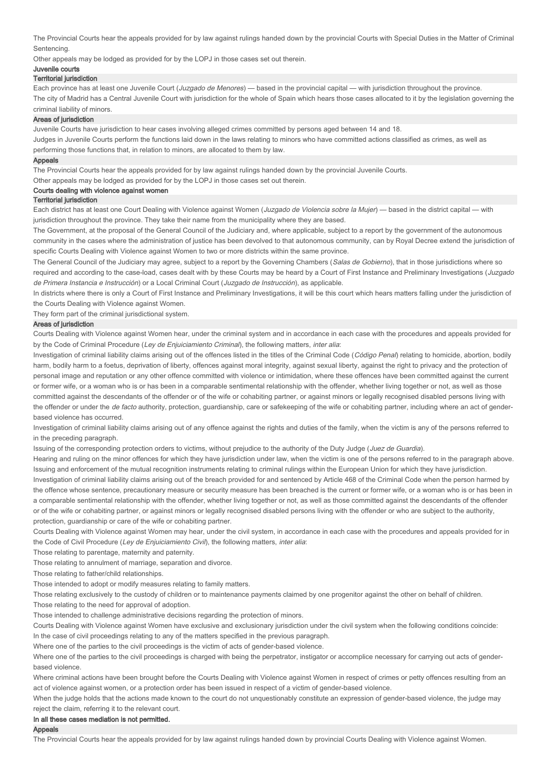The Provincial Courts hear the appeals provided for by law against rulings handed down by the provincial Courts with Special Duties in the Matter of Criminal **Sentencing** 

Other appeals may be lodged as provided for by the LOPJ in those cases set out therein.

## Juvenile courts

## **Territorial jurisdiction**

Each province has at least one Juvenile Court (*Juzgado de Menores*) — based in the provincial capital — with jurisdiction throughout the province.

The city of Madrid has a Central Juvenile Court with jurisdiction for the whole of Spain which hears those cases allocated to it by the legislation governing the criminal liability of minors.

#### Areas of jurisdiction

Juvenile Courts have jurisdiction to hear cases involving alleged crimes committed by persons aged between 14 and 18.

Judges in Juvenile Courts perform the functions laid down in the laws relating to minors who have committed actions classified as crimes, as well as performing those functions that, in relation to minors, are allocated to them by law.

#### Appeals

The Provincial Courts hear the appeals provided for by law against rulings handed down by the provincial Juvenile Courts.

Other appeals may be lodged as provided for by the LOPJ in those cases set out therein.

# Courts dealing with violence against women

### Territorial jurisdiction

Each district has at least one Court Dealing with Violence against Women (Juzgado de Violencia sobre la Mujer) — based in the district capital — with jurisdiction throughout the province. They take their name from the municipality where they are based.

The Government, at the proposal of the General Council of the Judiciary and, where applicable, subject to a report by the government of the autonomous community in the cases where the administration of justice has been devolved to that autonomous community, can by Royal Decree extend the jurisdiction of specific Courts Dealing with Violence against Women to two or more districts within the same province.

The General Council of the Judiciary may agree, subject to a report by the Governing Chambers (Salas de Gobierno), that in those jurisdictions where so required and according to the case-load, cases dealt with by these Courts may be heard by a Court of First Instance and Preliminary Investigations (Juzgado de Primera Instancia e Instrucción) or a Local Criminal Court (Juzgado de Instrucción), as applicable.

In districts where there is only a Court of First Instance and Preliminary Investigations, it will be this court which hears matters falling under the jurisdiction of the Courts Dealing with Violence against Women.

They form part of the criminal jurisdictional system.

#### Areas of jurisdiction

Courts Dealing with Violence against Women hear, under the criminal system and in accordance in each case with the procedures and appeals provided for by the Code of Criminal Procedure (Ley de Enjuiciamiento Criminal), the following matters, inter alia:

Investigation of criminal liability claims arising out of the offences listed in the titles of the Criminal Code (Código Penal) relating to homicide, abortion, bodily harm, bodily harm to a foetus, deprivation of liberty, offences against moral integrity, against sexual liberty, against the right to privacy and the protection of personal image and reputation or any other offence committed with violence or intimidation, where these offences have been committed against the current or former wife, or a woman who is or has been in a comparable sentimental relationship with the offender, whether living together or not, as well as those committed against the descendants of the offender or of the wife or cohabiting partner, or against minors or legally recognised disabled persons living with the offender or under the de facto authority, protection, guardianship, care or safekeeping of the wife or cohabiting partner, including where an act of genderbased violence has occurred.

Investigation of criminal liability claims arising out of any offence against the rights and duties of the family, when the victim is any of the persons referred to in the preceding paragraph.

Issuing of the corresponding protection orders to victims, without prejudice to the authority of the Duty Judge (Juez de Guardia).

Hearing and ruling on the minor offences for which they have jurisdiction under law, when the victim is one of the persons referred to in the paragraph above. Issuing and enforcement of the mutual recognition instruments relating to criminal rulings within the European Union for which they have jurisdiction. Investigation of criminal liability claims arising out of the breach provided for and sentenced by Article 468 of the Criminal Code when the person harmed by the offence whose sentence, precautionary measure or security measure has been breached is the current or former wife, or a woman who is or has been in a comparable sentimental relationship with the offender, whether living together or not, as well as those committed against the descendants of the offender or of the wife or cohabiting partner, or against minors or legally recognised disabled persons living with the offender or who are subject to the authority,

protection, guardianship or care of the wife or cohabiting partner.

Courts Dealing with Violence against Women may hear, under the civil system, in accordance in each case with the procedures and appeals provided for in the Code of Civil Procedure (Ley de Enjuiciamiento Civil), the following matters, inter alia:

Those relating to parentage, maternity and paternity.

Those relating to annulment of marriage, separation and divorce.

Those relating to father/child relationships.

Those intended to adopt or modify measures relating to family matters.

Those relating exclusively to the custody of children or to maintenance payments claimed by one progenitor against the other on behalf of children.

Those relating to the need for approval of adoption.

Those intended to challenge administrative decisions regarding the protection of minors.

Courts Dealing with Violence against Women have exclusive and exclusionary jurisdiction under the civil system when the following conditions coincide: In the case of civil proceedings relating to any of the matters specified in the previous paragraph.

Where one of the parties to the civil proceedings is the victim of acts of gender-based violence.

Where one of the parties to the civil proceedings is charged with being the perpetrator, instigator or accomplice necessary for carrying out acts of genderbased violence.

Where criminal actions have been brought before the Courts Dealing with Violence against Women in respect of crimes or petty offences resulting from an act of violence against women, or a protection order has been issued in respect of a victim of gender-based violence.

When the judge holds that the actions made known to the court do not unquestionably constitute an expression of gender-based violence, the judge may reject the claim, referring it to the relevant court.

#### In all these cases mediation is not permitted.

#### Appeals

The Provincial Courts hear the appeals provided for by law against rulings handed down by provincial Courts Dealing with Violence against Women.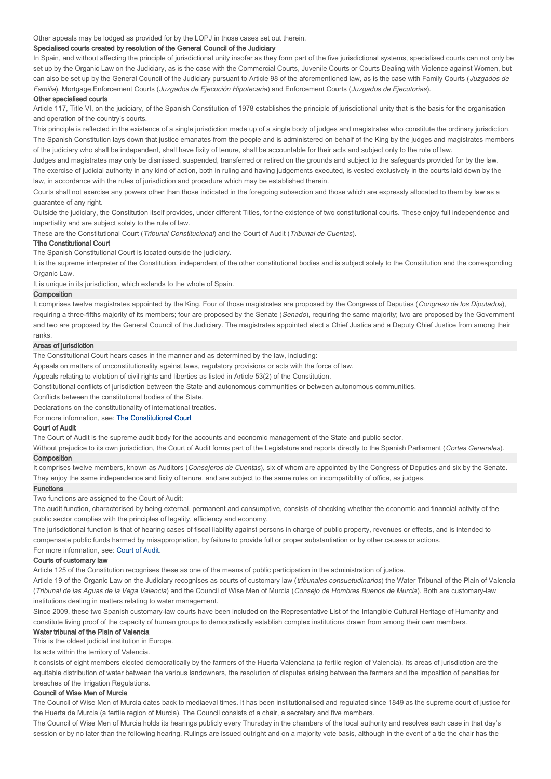Other appeals may be lodged as provided for by the LOPJ in those cases set out therein.

## Specialised courts created by resolution of the General Council of the Judiciary

In Spain, and without affecting the principle of jurisdictional unity insofar as they form part of the five jurisdictional systems, specialised courts can not only be set up by the Organic Law on the Judiciary, as is the case with the Commercial Courts, Juvenile Courts or Courts Dealing with Violence against Women, but can also be set up by the General Council of the Judiciary pursuant to Article 98 of the aforementioned law, as is the case with Family Courts (*Juzgados de* Familia), Mortgage Enforcement Courts (Juzgados de Ejecución Hipotecaria) and Enforcement Courts (Juzgados de Ejecutorias).

## Other specialised courts

Article 117, Title VI, on the judiciary, of the Spanish Constitution of 1978 establishes the principle of jurisdictional unity that is the basis for the organisation and operation of the country's courts.

This principle is reflected in the existence of a single jurisdiction made up of a single body of judges and magistrates who constitute the ordinary jurisdiction. The Spanish Constitution lays down that justice emanates from the people and is administered on behalf of the King by the judges and magistrates members of the judiciary who shall be independent, shall have fixity of tenure, shall be accountable for their acts and subject only to the rule of law.

Judges and magistrates may only be dismissed, suspended, transferred or retired on the grounds and subject to the safeguards provided for by the law. The exercise of judicial authority in any kind of action, both in ruling and having judgements executed, is vested exclusively in the courts laid down by the law, in accordance with the rules of jurisdiction and procedure which may be established therein.

Courts shall not exercise any powers other than those indicated in the foregoing subsection and those which are expressly allocated to them by law as a guarantee of any right.

Outside the judiciary, the Constitution itself provides, under different Titles, for the existence of two constitutional courts. These enjoy full independence and impartiality and are subject solely to the rule of law.

These are the Constitutional Court (Tribunal Constitucional) and the Court of Audit (Tribunal de Cuentas).

#### Tthe Constitutional Court

The Spanish Constitutional Court is located outside the judiciary.

It is the supreme interpreter of the Constitution, independent of the other constitutional bodies and is subject solely to the Constitution and the corresponding Organic Law

It is unique in its jurisdiction, which extends to the whole of Spain.

### Composition

It comprises twelve magistrates appointed by the King. Four of those magistrates are proposed by the Congress of Deputies (Congreso de los Diputados), requiring a three-fifths majority of its members; four are proposed by the Senate (Senado), requiring the same majority; two are proposed by the Government and two are proposed by the General Council of the Judiciary. The magistrates appointed elect a Chief Justice and a Deputy Chief Justice from among their ranks.

#### Areas of jurisdiction

The Constitutional Court hears cases in the manner and as determined by the law, including:

Appeals on matters of unconstitutionality against laws, regulatory provisions or acts with the force of law.

Appeals relating to violation of civil rights and liberties as listed in Article 53(2) of the Constitution.

Constitutional conflicts of jurisdiction between the State and autonomous communities or between autonomous communities.

Conflicts between the constitutional bodies of the State.

Declarations on the constitutionality of international treaties.

For more information, see: The Constitutional Court

#### Court of Audit

The Court of Audit is the supreme audit body for the accounts and economic management of the State and public sector.

Without prejudice to its own jurisdiction, the Court of Audit forms part of the Legislature and reports directly to the Spanish Parliament (Cortes Generales). Composition

It comprises twelve members, known as Auditors (Consejeros de Cuentas), six of whom are appointed by the Congress of Deputies and six by the Senate. They enjoy the same independence and fixity of tenure, and are subject to the same rules on incompatibility of office, as judges.

#### Functions

Two functions are assigned to the Court of Audit:

The audit function, characterised by being external, permanent and consumptive, consists of checking whether the economic and financial activity of the public sector complies with the principles of legality, efficiency and economy.

The jurisdictional function is that of hearing cases of fiscal liability against persons in charge of public property, revenues or effects, and is intended to compensate public funds harmed by misappropriation, by failure to provide full or proper substantiation or by other causes or actions.

# For more information, see: Court of Audit.

## Courts of customary law

Article 125 of the Constitution recognises these as one of the means of public participation in the administration of justice.

Article 19 of the Organic Law on the Judiciary recognises as courts of customary law (tribunales consuetudinarios) the Water Tribunal of the Plain of Valencia (Tribunal de las Aguas de la Vega Valencia) and the Council of Wise Men of Murcia (Consejo de Hombres Buenos de Murcia). Both are customary-law institutions dealing in matters relating to water management.

Since 2009, these two Spanish customary-law courts have been included on the Representative List of the Intangible Cultural Heritage of Humanity and constitute living proof of the capacity of human groups to democratically establish complex institutions drawn from among their own members.

## Water tribunal of the Plain of Valencia

This is the oldest judicial institution in Europe.

Its acts within the territory of Valencia.

It consists of eight members elected democratically by the farmers of the Huerta Valenciana (a fertile region of Valencia). Its areas of jurisdiction are the equitable distribution of water between the various landowners, the resolution of disputes arising between the farmers and the imposition of penalties for breaches of the Irrigation Regulations.

## Council of Wise Men of Murcia

The Council of Wise Men of Murcia dates back to mediaeval times. It has been institutionalised and regulated since 1849 as the supreme court of justice for the Huerta de Murcia (a fertile region of Murcia). The Council consists of a chair, a secretary and five members.

The Council of Wise Men of Murcia holds its hearings publicly every Thursday in the chambers of the local authority and resolves each case in that day's session or by no later than the following hearing. Rulings are issued outright and on a majority vote basis, although in the event of a tie the chair has the